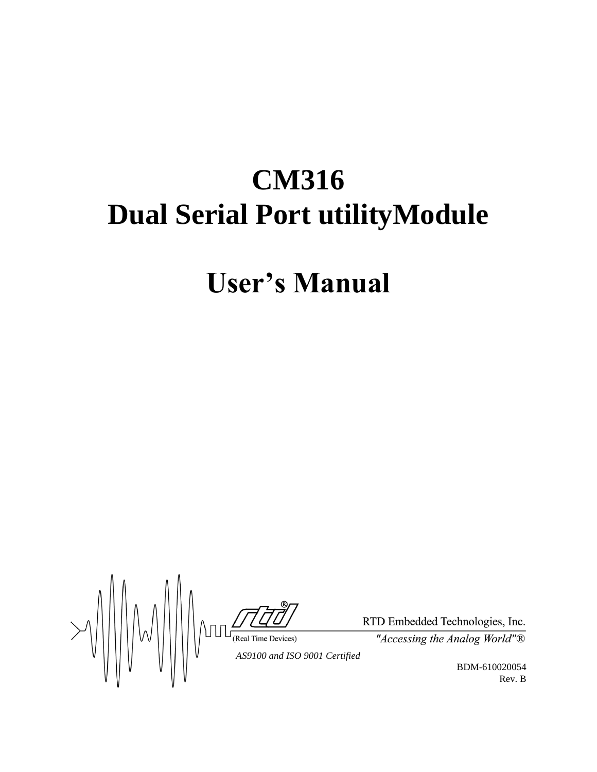# **CM316 Dual Serial Port utilityModule**

# **User's Manual**

 $\frac{1}{\frac{1}{\sqrt{1-\frac{1}{\sqrt{1-\frac{1}{\sqrt{1-\frac{1}{\sqrt{1-\frac{1}{\sqrt{1-\frac{1}{\sqrt{1-\frac{1}{\sqrt{1-\frac{1}{\sqrt{1-\frac{1}{\sqrt{1-\frac{1}{\sqrt{1-\frac{1}{\sqrt{1-\frac{1}{\sqrt{1-\frac{1}{\sqrt{1-\frac{1}{\sqrt{1-\frac{1}{\sqrt{1-\frac{1}{\sqrt{1-\frac{1}{\sqrt{1-\frac{1}{\sqrt{1-\frac{1}{\sqrt{1-\frac{1}{\sqrt{1-\frac{1}{\sqrt{1-\frac{1}{\sqrt{1-\frac{1}{\sqrt{1-\frac{1}{\sqrt{$ 

RTD Embedded Technologies, Inc.

"Accessing the Analog World"®

BDM-610020054 Rev. B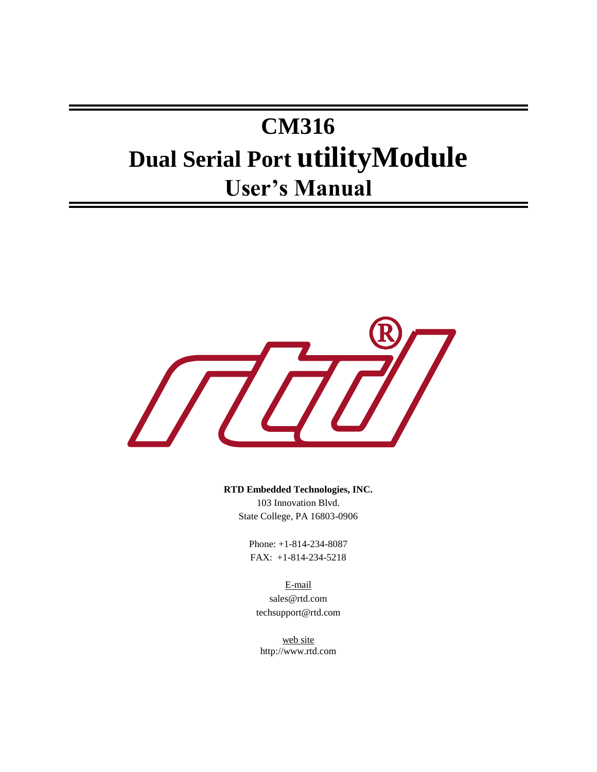# **CM316 Dual Serial Port utilityModule User's Manual**



**RTD Embedded Technologies, INC.**

103 Innovation Blvd. State College, PA 16803-0906

Phone: +1-814-234-8087 FAX: +1-814-234-5218

E-mail sales@rtd.com techsupport@rtd.com

web site http://www.rtd.com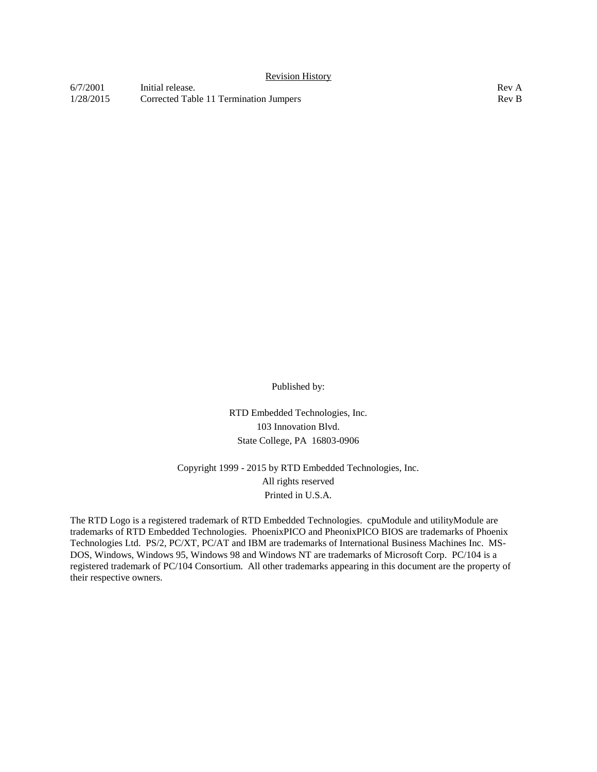| 6/7/2001  | Initial release.                       | Rev A            |
|-----------|----------------------------------------|------------------|
| 1/28/2015 | Corrected Table 11 Termination Jumpers | Rev <sub>B</sub> |

Published by:

RTD Embedded Technologies, Inc. 103 Innovation Blvd. State College, PA 16803-0906

Copyright 1999 - 2015 by RTD Embedded Technologies, Inc. All rights reserved Printed in U.S.A.

The RTD Logo is a registered trademark of RTD Embedded Technologies. cpuModule and utilityModule are trademarks of RTD Embedded Technologies. PhoenixPICO and PheonixPICO BIOS are trademarks of Phoenix Technologies Ltd. PS/2, PC/XT, PC/AT and IBM are trademarks of International Business Machines Inc. MS-DOS, Windows, Windows 95, Windows 98 and Windows NT are trademarks of Microsoft Corp. PC/104 is a registered trademark of PC/104 Consortium. All other trademarks appearing in this document are the property of their respective owners.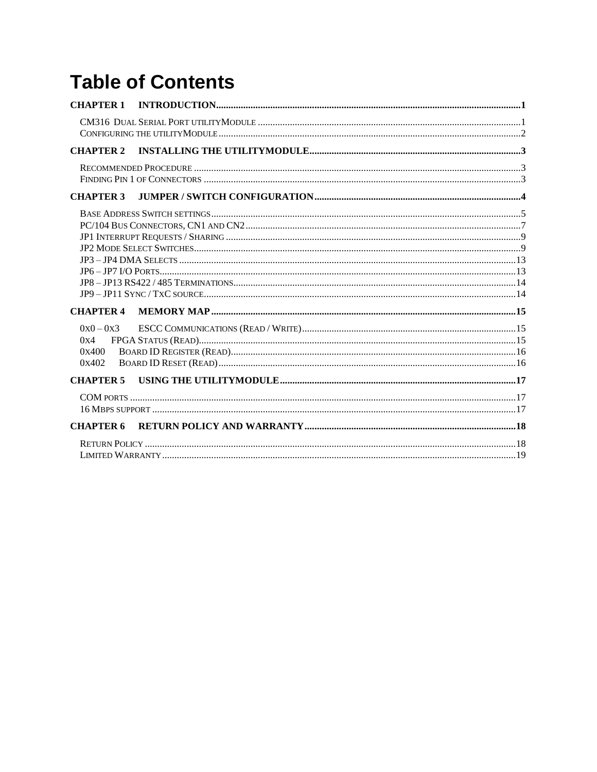# **Table of Contents**

| <b>CHAPTER 1</b>                     |  |
|--------------------------------------|--|
|                                      |  |
| <b>CHAPTER 2</b>                     |  |
|                                      |  |
| <b>CHAPTER 3</b>                     |  |
|                                      |  |
| <b>CHAPTER 4</b>                     |  |
| $0x0 - 0x3$<br>0x4<br>0x400<br>0x402 |  |
| <b>CHAPTER 5</b>                     |  |
|                                      |  |
| <b>CHAPTER 6</b>                     |  |
|                                      |  |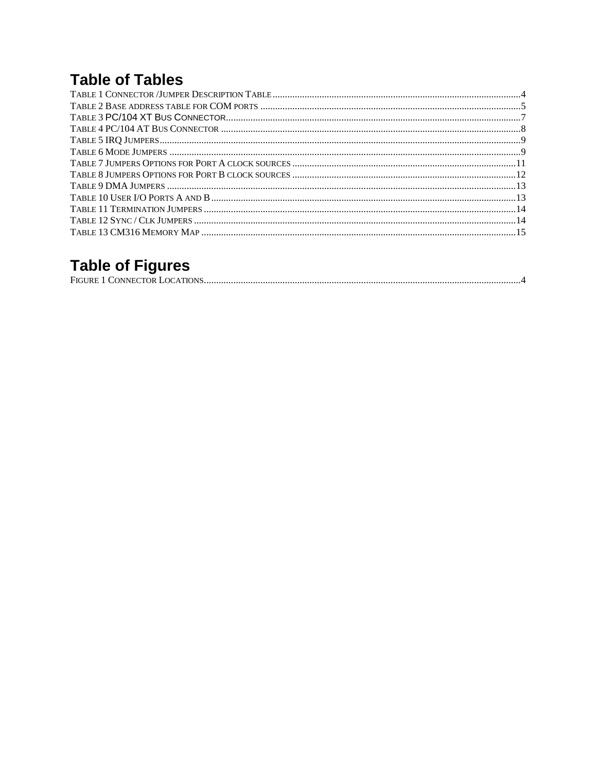# **Table of Tables**

# **Table of Figures**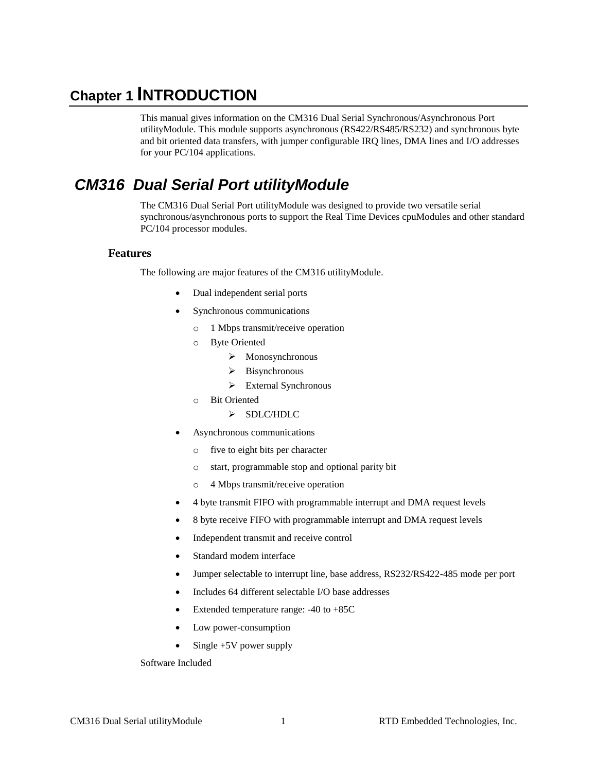### <span id="page-6-0"></span>**Chapter 1 INTRODUCTION**

This manual gives information on the CM316 Dual Serial Synchronous/Asynchronous Port utilityModule. This module supports asynchronous (RS422/RS485/RS232) and synchronous byte and bit oriented data transfers, with jumper configurable IRQ lines, DMA lines and I/O addresses for your PC/104 applications.

### <span id="page-6-1"></span>*CM316 Dual Serial Port utilityModule*

The CM316 Dual Serial Port utilityModule was designed to provide two versatile serial synchronous/asynchronous ports to support the Real Time Devices cpuModules and other standard PC/104 processor modules.

#### **Features**

The following are major features of the CM316 utilityModule.

- Dual independent serial ports
- Synchronous communications
	- o 1 Mbps transmit/receive operation
	- o Byte Oriented
		- $\triangleright$  Monosynchronous
		- $\triangleright$  Bisynchronous
		- > External Synchronous
	- o Bit Oriented
		- > SDLC/HDLC
- Asynchronous communications
	- o five to eight bits per character
	- o start, programmable stop and optional parity bit
	- o 4 Mbps transmit/receive operation
- 4 byte transmit FIFO with programmable interrupt and DMA request levels
- 8 byte receive FIFO with programmable interrupt and DMA request levels
- Independent transmit and receive control
- Standard modem interface
- Jumper selectable to interrupt line, base address, RS232/RS422-485 mode per port
- Includes 64 different selectable I/O base addresses
- Extended temperature range: -40 to +85C
- Low power-consumption
- Single +5V power supply

Software Included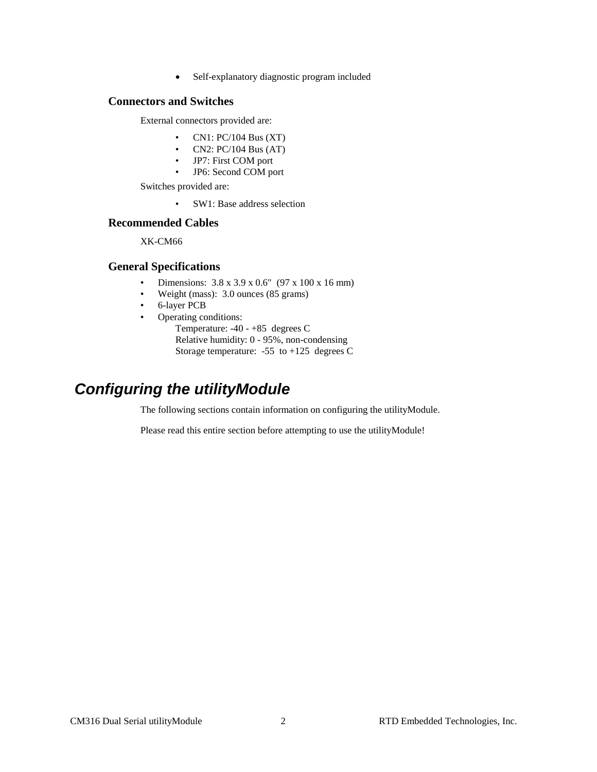Self-explanatory diagnostic program included

#### **Connectors and Switches**

External connectors provided are:

- CN1:  $PC/104$  Bus  $(XT)$
- CN2:  $PC/104$  Bus  $(AT)$
- JP7: First COM port
- JP6: Second COM port

Switches provided are:

• SW1: Base address selection

#### **Recommended Cables**

XK-CM66

#### **General Specifications**

- Dimensions:  $3.8 \times 3.9 \times 0.6$ " (97 x 100 x 16 mm)
- Weight (mass): 3.0 ounces (85 grams)
- 6-layer PCB
- Operating conditions: Temperature: -40 - +85 degrees C Relative humidity: 0 - 95%, non-condensing Storage temperature: -55 to +125 degrees C

## <span id="page-7-0"></span>*Configuring the utilityModule*

The following sections contain information on configuring the utilityModule.

Please read this entire section before attempting to use the utilityModule!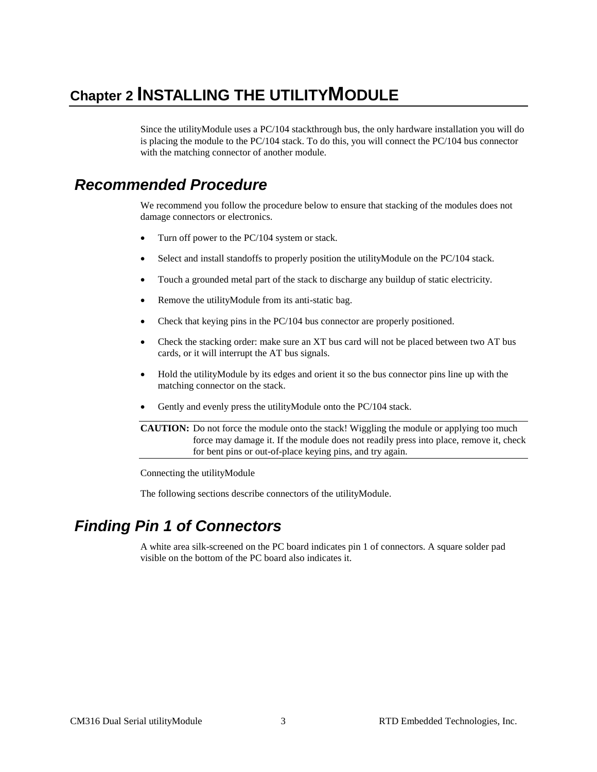# <span id="page-8-0"></span>**Chapter 2 INSTALLING THE UTILITYMODULE**

Since the utilityModule uses a PC/104 stackthrough bus, the only hardware installation you will do is placing the module to the PC/104 stack. To do this, you will connect the PC/104 bus connector with the matching connector of another module.

### <span id="page-8-1"></span>*Recommended Procedure*

We recommend you follow the procedure below to ensure that stacking of the modules does not damage connectors or electronics.

- Turn off power to the PC/104 system or stack.
- Select and install standoffs to properly position the utilityModule on the PC/104 stack.
- Touch a grounded metal part of the stack to discharge any buildup of static electricity.
- Remove the utility Module from its anti-static bag.
- Check that keying pins in the PC/104 bus connector are properly positioned.
- Check the stacking order: make sure an XT bus card will not be placed between two AT bus cards, or it will interrupt the AT bus signals.
- Hold the utilityModule by its edges and orient it so the bus connector pins line up with the matching connector on the stack.
- Gently and evenly press the utilityModule onto the PC/104 stack.

**CAUTION:** Do not force the module onto the stack! Wiggling the module or applying too much force may damage it. If the module does not readily press into place, remove it, check for bent pins or out-of-place keying pins, and try again.

Connecting the utilityModule

The following sections describe connectors of the utilityModule.

## <span id="page-8-2"></span>*Finding Pin 1 of Connectors*

A white area silk-screened on the PC board indicates pin 1 of connectors. A square solder pad visible on the bottom of the PC board also indicates it.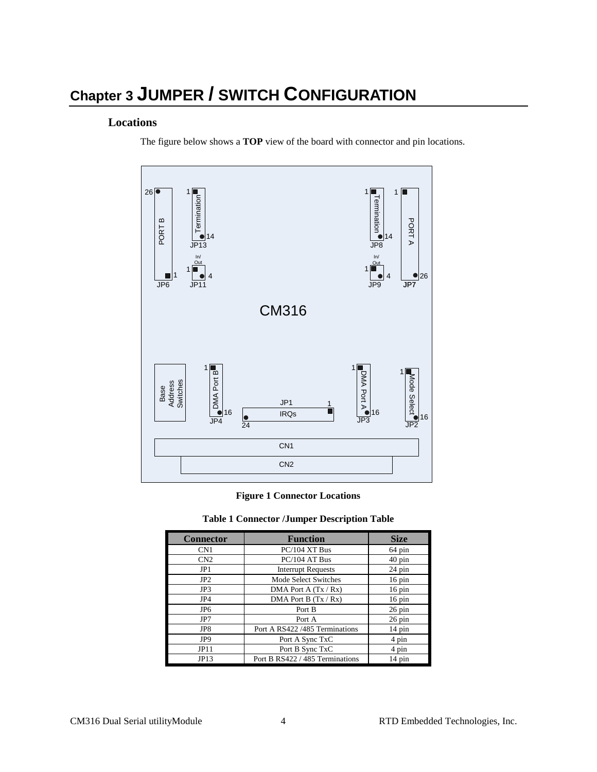# <span id="page-9-0"></span>**Chapter 3 JUMPER / SWITCH CONFIGURATION**

#### **Locations**

The figure below shows a **TOP** view of the board with connector and pin locations.



#### **Figure 1 Connector Locations**

#### **Table 1 Connector /Jumper Description Table**

<span id="page-9-2"></span><span id="page-9-1"></span>

| <b>Connector</b> | <b>Function</b>                 | <b>Size</b>         |
|------------------|---------------------------------|---------------------|
| CN <sub>1</sub>  | $PC/104$ XT Bus                 | 64 pin              |
| CN2              | PC/104 AT Bus                   | $40 \text{ pin}$    |
| JP1              | <b>Interrupt Requests</b>       | $24 \text{ pin}$    |
| JP2              | Mode Select Switches            | $16 \text{ pin}$    |
| JP3              | DMA Port A $(Tx / Rx)$          | $16 \text{ pin}$    |
| JP4              | DMA Port B $(Tx / Rx)$          | $16 \,\mathrm{pin}$ |
| JP <sub>6</sub>  | Port B                          | $26 \,\mathrm{pin}$ |
| JP7              | Port A                          | $26 \text{ pin}$    |
| JP8              | Port A RS422 /485 Terminations  | $14 \text{ pin}$    |
| JP <sub>9</sub>  | Port A Sync TxC                 | 4 pin               |
| JPI1             | Port B Sync TxC                 | 4 pin               |
| JP13             | Port B RS422 / 485 Terminations | $14 \text{ pin}$    |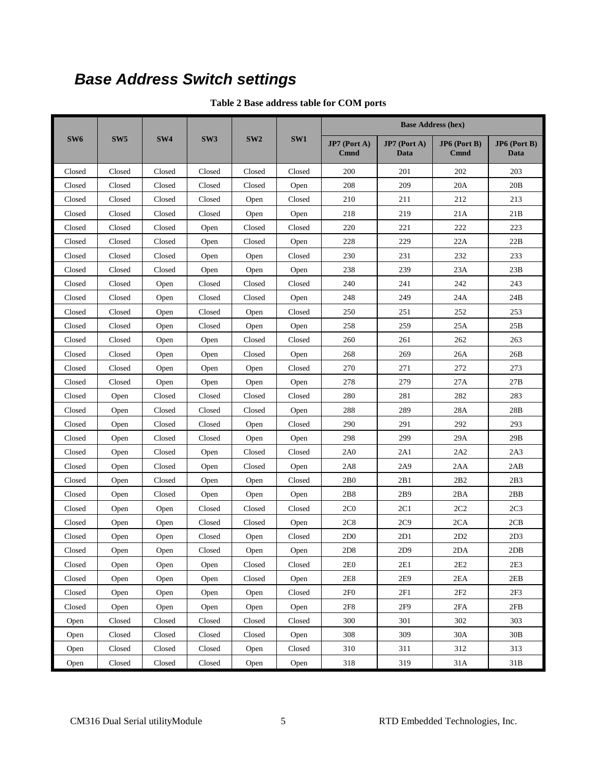# <span id="page-10-1"></span><span id="page-10-0"></span>*Base Address Switch settings*

| Table 2 Base address table for COM ports |  |  |  |  |
|------------------------------------------|--|--|--|--|
|------------------------------------------|--|--|--|--|

|                                |                 |                 |                 |                 |        | <b>Base Address (hex)</b>   |                      |                               |                        |
|--------------------------------|-----------------|-----------------|-----------------|-----------------|--------|-----------------------------|----------------------|-------------------------------|------------------------|
| SW <sub>6</sub>                | SW <sub>5</sub> | SW <sub>4</sub> | SW <sub>3</sub> | SW <sub>2</sub> | SW1    | JP7 (Port A)<br><b>Cmnd</b> | JP7 (Port A)<br>Data | $JP6$ (Port B)<br><b>Cmnd</b> | $JP6$ (Port B)<br>Data |
| Closed                         | Closed          | Closed          | Closed          | Closed          | Closed | 200                         | 201                  | 202                           | 203                    |
| Closed                         | Closed          | Closed          | Closed          | Closed          | Open   | 208                         | 209                  | 20A                           | 20B                    |
| Closed                         | Closed          | Closed          | Closed          | Open            | Closed | 210                         | 211                  | 212                           | 213                    |
| Closed                         | Closed          | Closed          | Closed          | Open            | Open   | 218                         | 219                  | 21A                           | 21B                    |
| Closed                         | Closed          | Closed          | Open            | Closed          | Closed | 220                         | 221                  | 222                           | 223                    |
| Closed                         | Closed          | Closed          | Open            | Closed          | Open   | 228                         | 229                  | 22A                           | 22B                    |
| Closed                         | Closed          | Closed          | Open            | Open            | Closed | 230                         | 231                  | 232                           | 233                    |
| Closed                         | Closed          | Closed          | Open            | Open            | Open   | 238                         | 239                  | 23A                           | 23B                    |
| Closed                         | Closed          | Open            | Closed          | Closed          | Closed | 240                         | 241                  | 242                           | 243                    |
| Closed                         | Closed          | Open            | Closed          | Closed          | Open   | 248                         | 249                  | 24A                           | 24B                    |
| Closed                         | Closed          | Open            | Closed          | Open            | Closed | 250                         | 251                  | 252                           | 253                    |
| Closed                         | Closed          | Open            | Closed          | Open            | Open   | 258                         | 259                  | 25A                           | 25B                    |
| Closed                         | Closed          | Open            | Open            | Closed          | Closed | 260                         | 261                  | 262                           | 263                    |
| Closed                         | Closed          | Open            | Open            | Closed          | Open   | 268                         | 269                  | 26A                           | 26B                    |
| Closed                         | Closed          | Open            | Open            | Open            | Closed | 270                         | 271                  | 272                           | 273                    |
| Closed                         | Closed          | Open            | Open            | Open            | Open   | 278                         | 279                  | 27A                           | 27B                    |
| Closed                         | Open            | Closed          | Closed          | Closed          | Closed | 280                         | 281                  | 282                           | 283                    |
| Closed                         | Open            | Closed          | Closed          | Closed          | Open   | 288                         | 289                  | 28A                           | 28B                    |
| Closed                         | Open            | Closed          | Closed          | Open            | Closed | 290                         | 291                  | 292                           | 293                    |
| Closed                         | Open            | Closed          | Closed          | Open            | Open   | 298                         | 299                  | 29A                           | 29B                    |
| Closed                         | Open            | Closed          | Open            | Closed          | Closed | 2A0                         | 2A1                  | 2A2                           | 2A3                    |
| Closed                         | Open            | Closed          | Open            | Closed          | Open   | 2A8                         | 2A9                  | 2AA                           | 2AB                    |
| Closed                         | Open            | Closed          | Open            | Open            | Closed | 2B0                         | 2B1                  | 2B2                           | 2B3                    |
| Closed                         | Open            | Closed          | Open            | Open            | Open   | 2B8                         | 2B9                  | 2BA                           | 2BB                    |
| Closed                         | Open            | Open            | Closed          | Closed          | Closed | 2C <sub>0</sub>             | 2C1                  | 2C2                           | 2C <sub>3</sub>        |
| Closed                         | Open            | Open            | Closed          | Closed          | Open   | 2C8                         | 2C9                  | 2CA                           | 2CB                    |
| Closed                         | Open            | Open            | Closed          | Open            | Closed | 2D <sub>0</sub>             | 2D1                  | 2D2                           | 2D <sub>3</sub>        |
| Closed                         | Open            | Open            | Closed          | Open            | Open   | 2D8                         | 2D9                  | 2DA                           | 2DB                    |
| $\ensuremath{\mathit{Closed}}$ | Open            | Open            | Open            | Closed          | Closed | 2E0                         | 2E1                  | 2E2                           | 2E3                    |
| Closed                         | Open            | Open            | Open            | Closed          | Open   | 2E8                         | 2E9                  | 2EA                           | 2EB                    |
| Closed                         | Open            | Open            | Open            | Open            | Closed | 2F <sub>0</sub>             | 2F1                  | 2F2                           | 2F3                    |
| Closed                         | Open            | Open            | Open            | Open            | Open   | 2F8                         | 2F9                  | 2FA                           | 2FB                    |
| Open                           | Closed          | Closed          | Closed          | Closed          | Closed | 300                         | 301                  | 302                           | 303                    |
| Open                           | Closed          | Closed          | Closed          | Closed          | Open   | 308                         | 309                  | 30A                           | $30B$                  |
| Open                           | Closed          | Closed          | Closed          | Open            | Closed | 310                         | 311                  | 312                           | 313                    |
| Open                           | Closed          | Closed          | Closed          | Open            | Open   | 318                         | 319                  | 31A                           | 31B                    |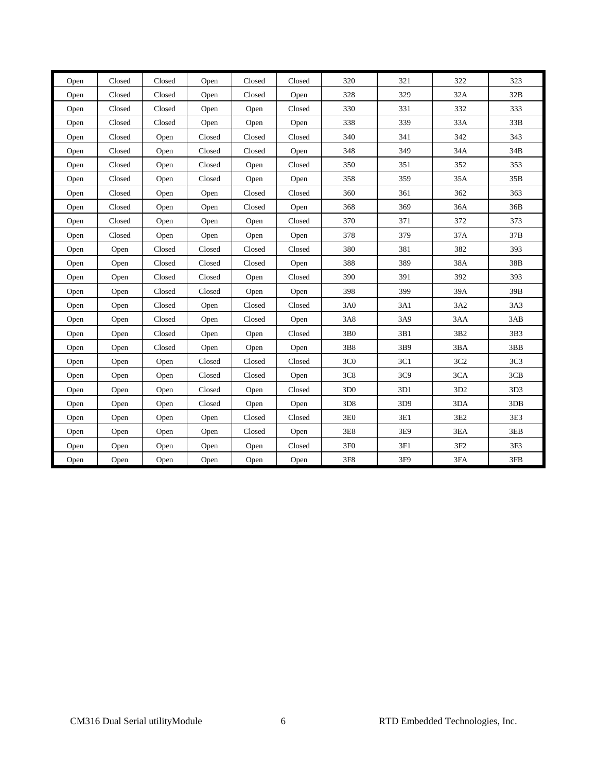| Open | Closed | Closed | Open   | Closed                         | Closed | 320             | 321 | 322             | 323             |
|------|--------|--------|--------|--------------------------------|--------|-----------------|-----|-----------------|-----------------|
| Open | Closed | Closed | Open   | Closed                         | Open   | 328             | 329 | 32A             | 32B             |
| Open | Closed | Closed | Open   | Open                           | Closed | 330             | 331 | 332             | 333             |
| Open | Closed | Closed | Open   | Open                           | Open   | 338             | 339 | 33A             | 33B             |
| Open | Closed | Open   | Closed | Closed                         | Closed | 340             | 341 | 342             | 343             |
| Open | Closed | Open   | Closed | Closed                         | Open   | 348             | 349 | 34A             | 34B             |
| Open | Closed | Open   | Closed | Open                           | Closed | 350             | 351 | 352             | 353             |
| Open | Closed | Open   | Closed | Open                           | Open   | 358             | 359 | 35A             | 35B             |
| Open | Closed | Open   | Open   | Closed                         | Closed | 360             | 361 | 362             | 363             |
| Open | Closed | Open   | Open   | Closed                         | Open   | 368             | 369 | 36A             | 36B             |
| Open | Closed | Open   | Open   | Open                           | Closed | 370             | 371 | 372             | 373             |
| Open | Closed | Open   | Open   | Open                           | Open   | 378             | 379 | 37A             | 37B             |
| Open | Open   | Closed | Closed | Closed                         | Closed | 380             | 381 | 382             | 393             |
| Open | Open   | Closed | Closed | Closed                         | Open   | 388             | 389 | 38A             | 38B             |
| Open | Open   | Closed | Closed | Open                           | Closed | 390             | 391 | 392             | 393             |
| Open | Open   | Closed | Closed | Open                           | Open   | 398             | 399 | 39A             | 39B             |
| Open | Open   | Closed | Open   | Closed                         | Closed | 3A0             | 3A1 | 3A2             | 3A3             |
| Open | Open   | Closed | Open   | Closed                         | Open   | <b>3A8</b>      | 3A9 | 3AA             | 3AB             |
| Open | Open   | Closed | Open   | Open                           | Closed | $3B0$           | 3B1 | 3B2             | 3B3             |
| Open | Open   | Closed | Open   | Open                           | Open   | 3B8             | 3B9 | 3BA             | 3BB             |
| Open | Open   | Open   | Closed | Closed                         | Closed | 3C <sub>0</sub> | 3C1 | 3C2             | 3C <sub>3</sub> |
| Open | Open   | Open   | Closed | Closed                         | Open   | 3C8             | 3C9 | 3CA             | 3CB             |
| Open | Open   | Open   | Closed | Open                           | Closed | 3D <sub>0</sub> | 3D1 | 3D2             | 3D3             |
| Open | Open   | Open   | Closed | Open                           | Open   | 3D <sub>8</sub> | 3D9 | 3DA             | 3DB             |
| Open | Open   | Open   | Open   | $\ensuremath{\mathsf{Closed}}$ | Closed | 3E0             | 3E1 | 3E2             | 3E3             |
| Open | Open   | Open   | Open   | Closed                         | Open   | $3\mathrm{E}8$  | 3E9 | 3EA             | 3EB             |
| Open | Open   | Open   | Open   | Open                           | Closed | 3F <sub>0</sub> | 3F1 | 3F <sub>2</sub> | 3F3             |
| Open | Open   | Open   | Open   | Open                           | Open   | 3F8             | 3F9 | 3FA             | 3FB             |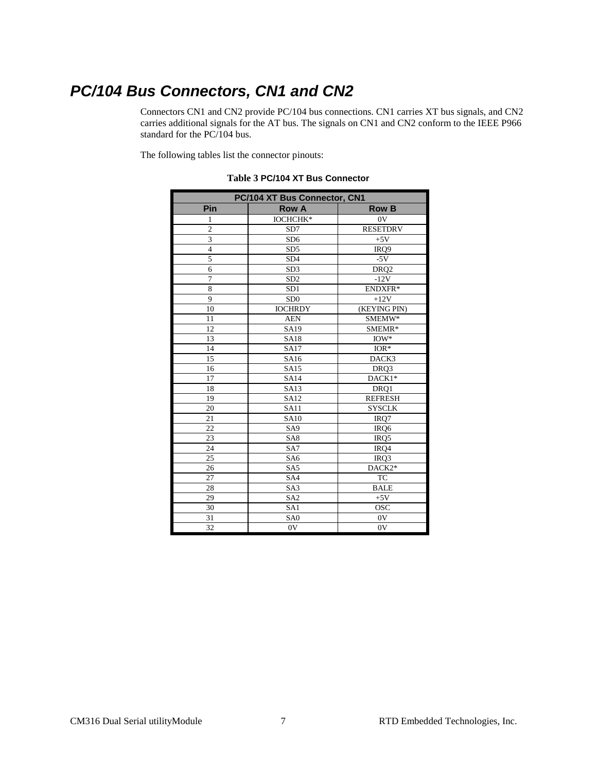# <span id="page-12-0"></span>*PC/104 Bus Connectors, CN1 and CN2*

Connectors CN1 and CN2 provide PC/104 bus connections. CN1 carries XT bus signals, and CN2 carries additional signals for the AT bus. The signals on CN1 and CN2 conform to the IEEE P966 standard for the PC/104 bus.

<span id="page-12-1"></span>The following tables list the connector pinouts:

| PC/104 XT Bus Connector, CN1 |                 |                  |  |  |  |
|------------------------------|-----------------|------------------|--|--|--|
| Pin                          | <b>Row A</b>    | <b>Row B</b>     |  |  |  |
| 1                            | <b>IOCHCHK*</b> | 0V               |  |  |  |
| $\overline{2}$               | SD7             | <b>RESETDRV</b>  |  |  |  |
| 3                            | SD <sub>6</sub> | $+5V$            |  |  |  |
| $\overline{4}$               | SD <sub>5</sub> | IRQ9             |  |  |  |
| 5                            | SD <sub>4</sub> | $-5V$            |  |  |  |
| 6                            | SD <sub>3</sub> | DRQ <sub>2</sub> |  |  |  |
| $\overline{7}$               | SD <sub>2</sub> | $-12V$           |  |  |  |
| 8                            | SD <sub>1</sub> | ENDXFR*          |  |  |  |
| 9                            | SD <sub>0</sub> | $+12V$           |  |  |  |
| 10                           | <b>IOCHRDY</b>  | (KEYING PIN)     |  |  |  |
| 11                           | <b>AEN</b>      | SMEMW*           |  |  |  |
| 12                           | SA19            | SMEMR*           |  |  |  |
| 13                           | <b>SA18</b>     | $IOW*$           |  |  |  |
| 14                           | <b>SA17</b>     | $IOR*$           |  |  |  |
| 15                           | SA16            | DACK3            |  |  |  |
| 16                           | <b>SA15</b>     | DRQ3             |  |  |  |
| 17                           | <b>SA14</b>     | DACK1*           |  |  |  |
| 18                           | <b>SA13</b>     | DRO <sub>1</sub> |  |  |  |
| 19                           | <b>SA12</b>     | <b>REFRESH</b>   |  |  |  |
| 20                           | <b>SA11</b>     | <b>SYSCLK</b>    |  |  |  |
| 21                           | <b>SA10</b>     | IRQ7             |  |  |  |
| 22                           | SA <sub>9</sub> | IRQ6             |  |  |  |
| 23                           | SA <sub>8</sub> | IRQ5             |  |  |  |
| 24                           | SA7             | IRQ4             |  |  |  |
| 25                           | SA <sub>6</sub> | IRQ3             |  |  |  |
| 26                           | SA <sub>5</sub> | DACK2*           |  |  |  |
| 27                           | SA4             | <b>TC</b>        |  |  |  |
| 28                           | SA3             | <b>BALE</b>      |  |  |  |
| 29                           | SA <sub>2</sub> | $+5V$            |  |  |  |
| 30                           | SA1             | <b>OSC</b>       |  |  |  |
| 31                           | SA <sub>0</sub> | 0V               |  |  |  |
| 32                           | 0V              | 0V               |  |  |  |

**Table 3 PC/104 XT Bus Connector**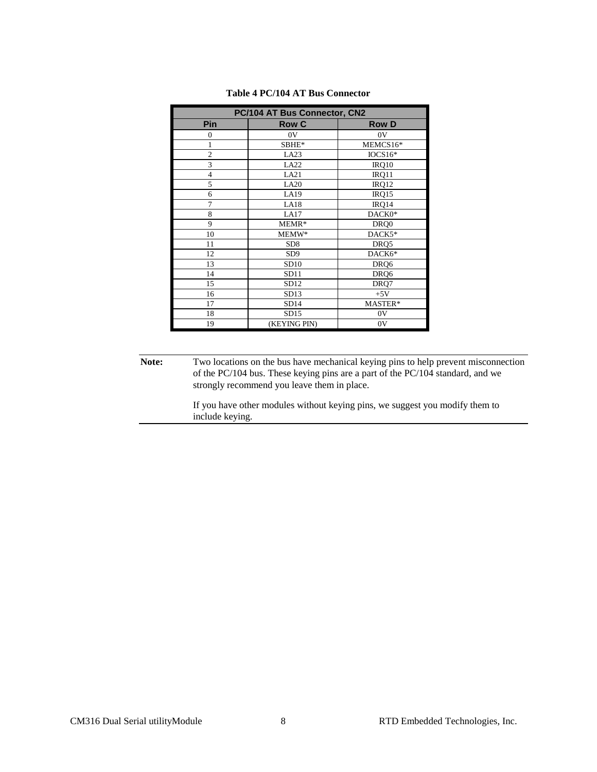<span id="page-13-0"></span>

| PC/104 AT Bus Connector, CN2 |                 |              |  |  |  |  |
|------------------------------|-----------------|--------------|--|--|--|--|
| Pin                          | <b>Row C</b>    | <b>Row D</b> |  |  |  |  |
| $\theta$                     | 0V              | 0V           |  |  |  |  |
| 1                            | SBHE*           | MEMCS16*     |  |  |  |  |
| $\overline{c}$               | LA23            | $IOCS16*$    |  |  |  |  |
| 3                            | LA22            | IRQ10        |  |  |  |  |
| $\overline{\mathbf{4}}$      | LA21            | IRQ11        |  |  |  |  |
| 5                            | LA20            | IRQ12        |  |  |  |  |
| 6                            | LA19            | IRQ15        |  |  |  |  |
| 7                            | LA18            | IRQ14        |  |  |  |  |
| 8                            | LA17            | DACK0*       |  |  |  |  |
| 9                            | MEMR*           | DRQ0         |  |  |  |  |
| 10                           | MEMW*           | DACK5*       |  |  |  |  |
| 11                           | SD <sub>8</sub> | DRQ5         |  |  |  |  |
| 12                           | SD <sub>9</sub> | DACK6*       |  |  |  |  |
| 13                           | SD10            | DRQ6         |  |  |  |  |
| 14                           | SD11            | DRQ6         |  |  |  |  |
| 15                           | SD12            | DRQ7         |  |  |  |  |
| 16                           | SD13            | $+5V$        |  |  |  |  |
| 17                           | SD14            | MASTER*      |  |  |  |  |
| 18                           | SD15            | 0V           |  |  |  |  |
| 19                           | (KEYING PIN)    | 0V           |  |  |  |  |

#### **Table 4 PC/104 AT Bus Connector**

**Note:** Two locations on the bus have mechanical keying pins to help prevent misconnection of the PC/104 bus. These keying pins are a part of the PC/104 standard, and we strongly recommend you leave them in place.

> If you have other modules without keying pins, we suggest you modify them to include keying.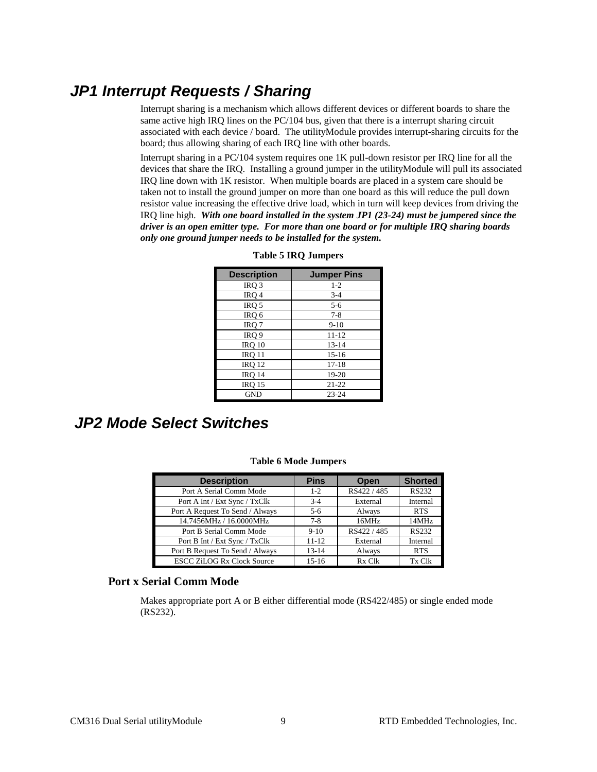### <span id="page-14-0"></span>*JP1 Interrupt Requests / Sharing*

Interrupt sharing is a mechanism which allows different devices or different boards to share the same active high IRQ lines on the PC/104 bus, given that there is a interrupt sharing circuit associated with each device / board. The utilityModule provides interrupt-sharing circuits for the board; thus allowing sharing of each IRQ line with other boards.

<span id="page-14-2"></span>Interrupt sharing in a PC/104 system requires one 1K pull-down resistor per IRQ line for all the devices that share the IRQ. Installing a ground jumper in the utilityModule will pull its associated IRQ line down with 1K resistor. When multiple boards are placed in a system care should be taken not to install the ground jumper on more than one board as this will reduce the pull down resistor value increasing the effective drive load, which in turn will keep devices from driving the IRQ line high. *With one board installed in the system JP1 (23-24) must be jumpered since the driver is an open emitter type. For more than one board or for multiple IRQ sharing boards only one ground jumper needs to be installed for the system.*

| <b>Description</b> | <b>Jumper Pins</b> |
|--------------------|--------------------|
| IRO <sub>3</sub>   | $1 - 2$            |
| IRQ 4              | $3 - 4$            |
| IRQ 5              | $5 - 6$            |
| IRQ 6              | $7 - 8$            |
| IRQ 7              | $9-10$             |
| IRQ 9              | $11 - 12$          |
| <b>IRO 10</b>      | $13 - 14$          |
| <b>IRQ 11</b>      | $15-16$            |
| <b>IRO 12</b>      | $17 - 18$          |
| <b>IRQ 14</b>      | 19-20              |
| <b>IRQ 15</b>      | $21 - 22$          |
| <b>GND</b>         | $23 - 24$          |

#### **Table 5 IRQ Jumpers**

# <span id="page-14-3"></span><span id="page-14-1"></span>*JP2 Mode Select Switches*

| <b>Description</b>                | <b>Pins</b> | Open        | <b>Shorted</b> |
|-----------------------------------|-------------|-------------|----------------|
| Port A Serial Comm Mode           | $1 - 2$     | RS422 / 485 | <b>RS232</b>   |
| Port A Int / Ext Sync / TxClk     | $3-4$       | External    | Internal       |
| Port A Request To Send / Always   | $5 - 6$     | Always      | <b>RTS</b>     |
| 14.7456MHz / 16.0000MHz           | $7-8$       | 16MHz       | 14MHz          |
| Port B Serial Comm Mode           | $9-10$      | RS422 / 485 | <b>RS232</b>   |
| Port B Int / Ext Sync / TxClk     | $11 - 12$   | External    | Internal       |
| Port B Request To Send / Always   | $13 - 14$   | Always      | <b>RTS</b>     |
| <b>ESCC ZiLOG Rx Clock Source</b> | $15-16$     | Rx Clk      | Tx Clk         |

#### **Table 6 Mode Jumpers**

#### **Port x Serial Comm Mode**

Makes appropriate port A or B either differential mode (RS422/485) or single ended mode (RS232).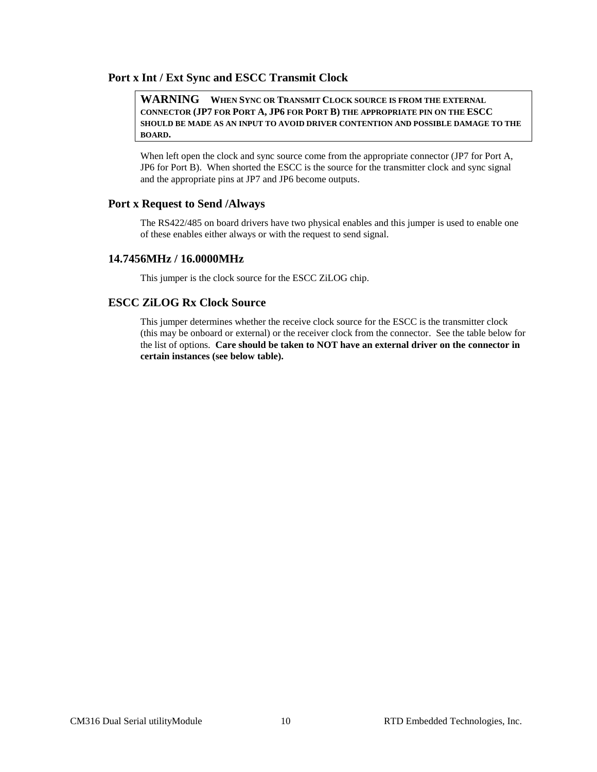#### **Port x Int / Ext Sync and ESCC Transmit Clock**

#### **WARNING WHEN SYNC OR TRANSMIT CLOCK SOURCE IS FROM THE EXTERNAL CONNECTOR (JP7 FOR PORT A, JP6 FOR PORT B) THE APPROPRIATE PIN ON THE ESCC SHOULD BE MADE AS AN INPUT TO AVOID DRIVER CONTENTION AND POSSIBLE DAMAGE TO THE BOARD.**

When left open the clock and sync source come from the appropriate connector (JP7 for Port A, JP6 for Port B). When shorted the ESCC is the source for the transmitter clock and sync signal and the appropriate pins at JP7 and JP6 become outputs.

#### **Port x Request to Send /Always**

The RS422/485 on board drivers have two physical enables and this jumper is used to enable one of these enables either always or with the request to send signal.

#### **14.7456MHz / 16.0000MHz**

This jumper is the clock source for the ESCC ZiLOG chip.

#### **ESCC ZiLOG Rx Clock Source**

This jumper determines whether the receive clock source for the ESCC is the transmitter clock (this may be onboard or external) or the receiver clock from the connector. See the table below for the list of options. **Care should be taken to NOT have an external driver on the connector in certain instances (see below table).**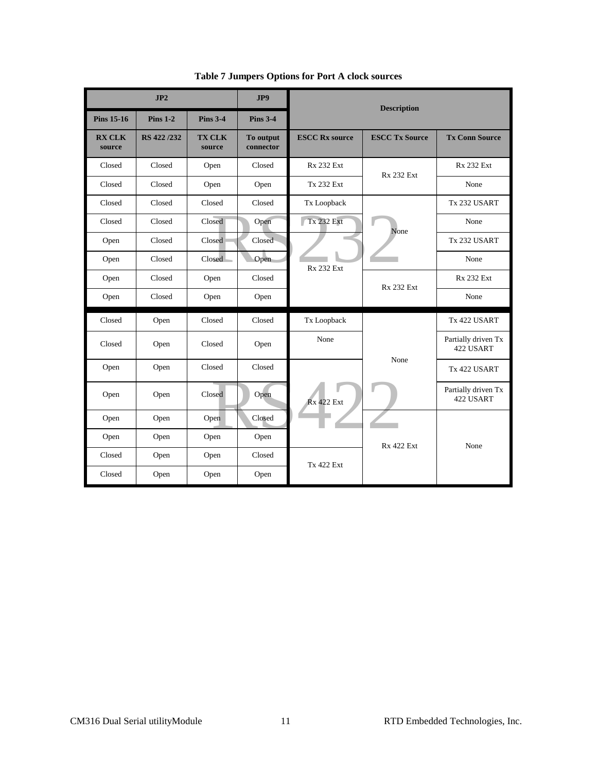<span id="page-16-0"></span>

|                         | JP2         |                         | JP9                    |                       | <b>Description</b>    |                                  |  |  |  |  |
|-------------------------|-------------|-------------------------|------------------------|-----------------------|-----------------------|----------------------------------|--|--|--|--|
| <b>Pins 15-16</b>       | $Pins 1-2$  | <b>Pins 3-4</b>         | <b>Pins 3-4</b>        |                       |                       |                                  |  |  |  |  |
| <b>RX CLK</b><br>source | RS 422 /232 | <b>TX CLK</b><br>source | To output<br>connector | <b>ESCC Rx source</b> | <b>ESCC Tx Source</b> | <b>Tx Conn Source</b>            |  |  |  |  |
| Closed                  | Closed      | Open                    | Closed                 | <b>Rx 232 Ext</b>     | <b>Rx 232 Ext</b>     | <b>Rx 232 Ext</b>                |  |  |  |  |
| Closed                  | Closed      | Open                    | Open                   | <b>Tx 232 Ext</b>     |                       | None                             |  |  |  |  |
| Closed                  | Closed      | Closed                  | Closed                 | Tx Loopback           |                       | Tx 232 USART                     |  |  |  |  |
| Closed                  | Closed      | Closed                  | Open                   | <b>Tx 232 Ext</b>     | None                  | None                             |  |  |  |  |
| Open                    | Closed      | Closed                  | Closed                 |                       |                       | Tx 232 USART                     |  |  |  |  |
| Open                    | Closed      | Closed                  | Open                   | <b>Rx 232 Ext</b>     |                       | None                             |  |  |  |  |
| Open                    | Closed      | Open                    | Closed                 |                       | <b>Rx 232 Ext</b>     | <b>Rx 232 Ext</b>                |  |  |  |  |
| Open                    | Closed      | Open                    | Open                   |                       |                       | None                             |  |  |  |  |
| Closed                  | Open        | Closed                  | Closed                 | Tx Loopback           |                       | Tx 422 USART                     |  |  |  |  |
| Closed                  | Open        | Closed                  | Open                   | None                  |                       | Partially driven Tx<br>422 USART |  |  |  |  |
| Open                    | Open        | Closed                  | Closed                 |                       | None                  | Tx 422 USART                     |  |  |  |  |
| Open                    | Open        | Closed                  | Open                   | <b>Rx 422 Ext</b>     |                       | Partially driven Tx<br>422 USART |  |  |  |  |
| Open                    | Open        | Open                    | Closed                 |                       |                       |                                  |  |  |  |  |
| Open                    | Open        | Open                    | Open                   |                       | <b>Rx 422 Ext</b>     | None                             |  |  |  |  |
| Closed                  | Open        | Open                    | Closed                 | <b>Tx 422 Ext</b>     |                       |                                  |  |  |  |  |
| Closed                  | Open        | Open                    | Open                   |                       |                       |                                  |  |  |  |  |

**Table 7 Jumpers Options for Port A clock sources**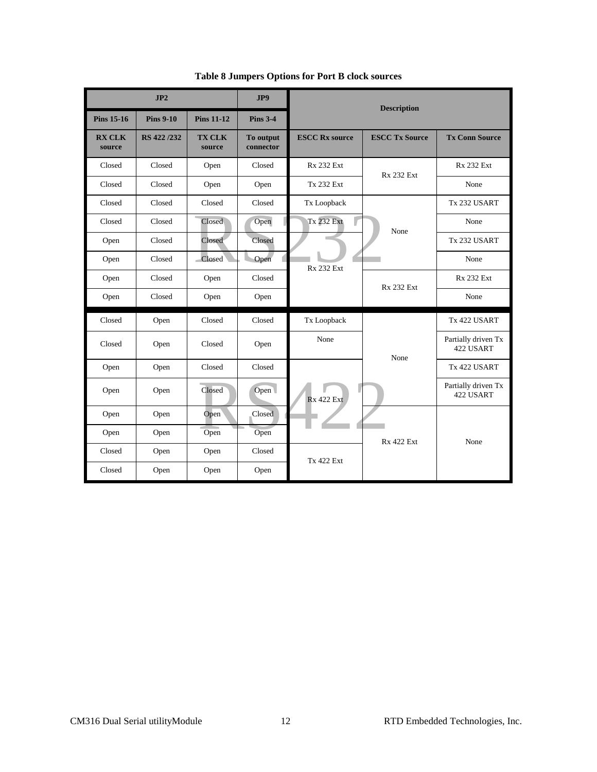<span id="page-17-0"></span>

|                         | JP2              |                         | JP9                    | <b>Description</b>    |                       |                                  |  |  |  |  |
|-------------------------|------------------|-------------------------|------------------------|-----------------------|-----------------------|----------------------------------|--|--|--|--|
| <b>Pins 15-16</b>       | <b>Pins 9-10</b> | <b>Pins 11-12</b>       | <b>Pins 3-4</b>        |                       |                       |                                  |  |  |  |  |
| <b>RX CLK</b><br>source | RS 422/232       | <b>TX CLK</b><br>source | To output<br>connector | <b>ESCC Rx source</b> | <b>ESCC Tx Source</b> | <b>Tx Conn Source</b>            |  |  |  |  |
| Closed                  | Closed           | Open                    | Closed                 | <b>Rx 232 Ext</b>     | <b>Rx 232 Ext</b>     | <b>Rx 232 Ext</b>                |  |  |  |  |
| Closed                  | Closed           | Open                    | Open                   | <b>Tx 232 Ext</b>     |                       | None                             |  |  |  |  |
| Closed                  | Closed           | Closed                  | Closed                 | Tx Loopback           |                       | Tx 232 USART                     |  |  |  |  |
| Closed                  | Closed           | Closed                  | Open                   | <b>Tx 232 Ext</b>     | None                  | None                             |  |  |  |  |
| Open                    | Closed           | Closed                  | Closed                 |                       |                       | Tx 232 USART                     |  |  |  |  |
| Open                    | Closed           | Closed                  | Open                   | <b>Rx 232 Ext</b>     |                       | None                             |  |  |  |  |
| Open                    | Closed           | Open                    | Closed                 |                       | <b>Rx 232 Ext</b>     | <b>Rx 232 Ext</b>                |  |  |  |  |
| Open                    | Closed           | Open                    | Open                   |                       |                       | None                             |  |  |  |  |
| Closed                  | Open             | Closed                  | Closed                 | Tx Loopback           |                       | Tx 422 USART                     |  |  |  |  |
| Closed                  | Open             | Closed                  | Open                   | None                  | None                  | Partially driven Tx<br>422 USART |  |  |  |  |
| Open                    | Open             | Closed                  | Closed                 |                       |                       | Tx 422 USART                     |  |  |  |  |
| Open                    | Open             | Closed                  | Open                   | <b>Rx 422 Ext</b>     |                       | Partially driven Tx<br>422 USART |  |  |  |  |
| Open                    | Open             | Open                    | Closed                 |                       |                       |                                  |  |  |  |  |
| Open                    | Open             | Open                    | Open                   |                       | <b>Rx 422 Ext</b>     | None                             |  |  |  |  |
| Closed                  | Open             | Open                    | Closed                 | <b>Tx 422 Ext</b>     |                       |                                  |  |  |  |  |
| Closed                  | Open             | Open                    | Open                   |                       |                       |                                  |  |  |  |  |

**Table 8 Jumpers Options for Port B clock sources**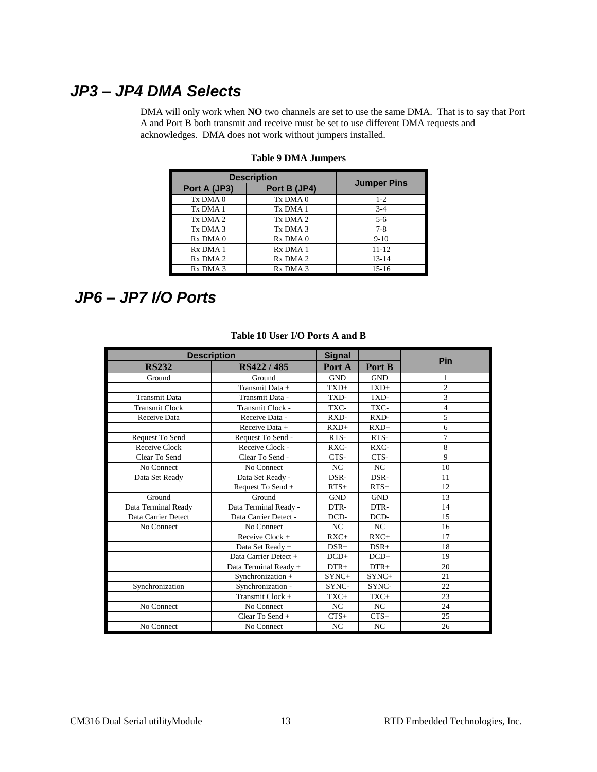### <span id="page-18-2"></span><span id="page-18-0"></span>*JP3 – JP4 DMA Selects*

DMA will only work when **NO** two channels are set to use the same DMA. That is to say that Port A and Port B both transmit and receive must be set to use different DMA requests and acknowledges. DMA does not work without jumpers installed.

| <b>Description</b>   | <b>Jumper Pins</b>   |           |  |  |
|----------------------|----------------------|-----------|--|--|
| Port A (JP3)         |                      |           |  |  |
| Tx DMA 0             | Tx DMA 0             | $1 - 2$   |  |  |
| Tx DMA 1             | Tx DMA 1             | $3-4$     |  |  |
| Tx DMA 2             | Tx DMA 2             | $5 - 6$   |  |  |
| Tx DMA 3             | Tx DMA 3             | $7-8$     |  |  |
| R <sub>x</sub> DMA 0 | Rx DMA 0             | $9-10$    |  |  |
| R <sub>x</sub> DMA 1 | Rx DMA 1             | 11-12     |  |  |
| R <sub>x</sub> DMA 2 | R <sub>x</sub> DMA 2 | $13 - 14$ |  |  |
| R <sub>x</sub> DMA 3 | R <sub>x</sub> DMA 3 | $15 - 16$ |  |  |

#### **Table 9 DMA Jumpers**

### <span id="page-18-3"></span><span id="page-18-1"></span>*JP6 – JP7 I/O Ports*

| <b>Description</b>    |                       | <b>Signal</b> |            | Pin            |  |  |
|-----------------------|-----------------------|---------------|------------|----------------|--|--|
| <b>RS232</b>          | RS422 / 485           | Port A        | Port B     |                |  |  |
| Ground                | Ground                | <b>GND</b>    | <b>GND</b> | 1              |  |  |
|                       | Transmit Data +       | $TXD+$        | $TXD+$     | $\overline{c}$ |  |  |
| <b>Transmit Data</b>  | Transmit Data -       | TXD-          | TXD-       | 3              |  |  |
| <b>Transmit Clock</b> | Transmit Clock -      | TXC-          | TXC-       | $\overline{4}$ |  |  |
| Receive Data          | Receive Data -        | RXD-          | RXD-       | 5              |  |  |
|                       | Receive Data +        | $RXD+$        | $RXD+$     | 6              |  |  |
| Request To Send       | Request To Send -     | RTS-          | RTS-       | 7              |  |  |
| Receive Clock         | Receive Clock -       | $RXC-$        | $RXC-$     | 8              |  |  |
| Clear To Send         | Clear To Send -       | CTS-          | CTS-       | 9              |  |  |
| No Connect            | No Connect            | NC            | NC         | 10             |  |  |
| Data Set Ready        | Data Set Ready -      | DSR-          | DSR-       | 11             |  |  |
|                       | Request To Send +     | $RTS+$        | $RTS+$     | 12             |  |  |
| Ground                | Ground                | <b>GND</b>    | <b>GND</b> | 13             |  |  |
| Data Terminal Ready   | Data Terminal Ready - | DTR-          | DTR-       | 14             |  |  |
| Data Carrier Detect   | Data Carrier Detect - | DCD-          | DCD-       | 15             |  |  |
| No Connect            | No Connect            | NC            | NC         | 16             |  |  |
|                       | Receive Clock +       | $RXC+$        | $RXC+$     | 17             |  |  |
|                       | Data Set Ready +      | $DSR+$        | $DSR+$     | 18             |  |  |
|                       | Data Carrier Detect + | $DCD+$        | $DCD+$     | 19             |  |  |
|                       | Data Terminal Ready + | $DTR+$        | $DTR+$     | 20             |  |  |
|                       | Synchronization +     | SYNC+         | $SYNC+$    | 21             |  |  |
| Synchronization       | Synchronization -     | SYNC-         | SYNC-      | 22             |  |  |
|                       | Transmit Clock +      | TXC+          | TXC+       | 23             |  |  |
| No Connect            | No Connect            | NC            | NC         | 24             |  |  |
|                       | Clear To Send +       | $CTS+$        | $CTS+$     | 25             |  |  |
| No Connect            | No Connect            | NC            | NC         | 26             |  |  |

#### **Table 10 User I/O Ports A and B**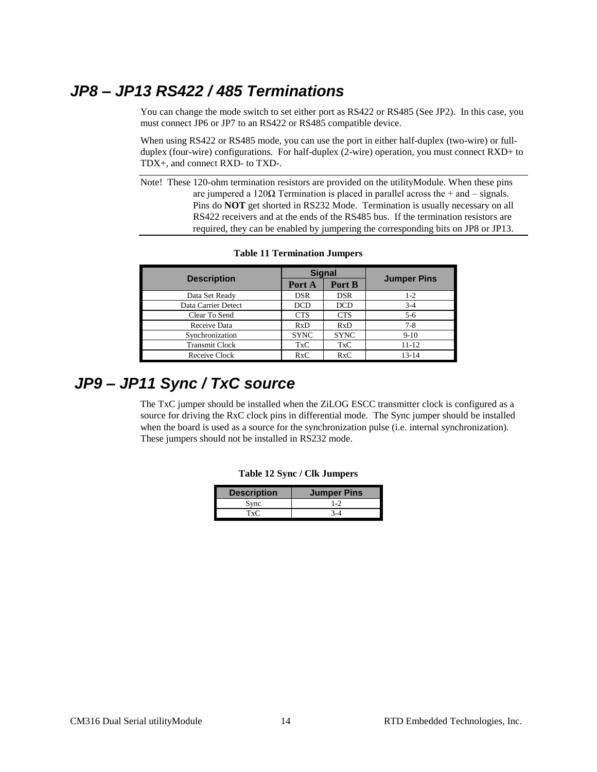# <span id="page-19-0"></span>*JP8 – JP13 RS422 / 485 Terminations*

You can change the mode switch to set either port as RS422 or RS485 (See JP2). In this case, you must connect JP6 or JP7 to an RS422 or RS485 compatible device.

When using RS422 or RS485 mode, you can use the port in either half-duplex (two-wire) or fullduplex (four-wire) configurations. For half-duplex (2-wire) operation, you must connect RXD+ to TDX+, and connect RXD- to TXD-.

Note! These 120-ohm termination resistors are provided on the utilityModule. When these pins are jumpered a 120 $\Omega$  Termination is placed in parallel across the + and – signals. Pins do **NOT** get shorted in RS232 Mode. Termination is usually necessary on all RS422 receivers and at the ends of the RS485 bus. If the termination resistors are required, they can be enabled by jumpering the corresponding bits on JP8 or JP13.

<span id="page-19-2"></span>

|                       | <b>Signal</b> |             |                    |  |  |
|-----------------------|---------------|-------------|--------------------|--|--|
| <b>Description</b>    | Port A        | Port B      | <b>Jumper Pins</b> |  |  |
| Data Set Ready        | <b>DSR</b>    | <b>DSR</b>  | $1 - 2$            |  |  |
| Data Carrier Detect   | <b>DCD</b>    | <b>DCD</b>  | $3 - 4$            |  |  |
| Clear To Send         | <b>CTS</b>    | <b>CTS</b>  | $5 - 6$            |  |  |
| Receive Data          | RxD           | RxD         | $7 - 8$            |  |  |
| Synchronization       | <b>SYNC</b>   | <b>SYNC</b> | $9-10$             |  |  |
| <b>Transmit Clock</b> | <b>TxC</b>    | <b>TxC</b>  | $11 - 12$          |  |  |
| Receive Clock         | RxC           | RxC         | $13 - 14$          |  |  |

**Table 11 Termination Jumpers**

# <span id="page-19-3"></span><span id="page-19-1"></span>*JP9 – JP11 Sync / TxC source*

The TxC jumper should be installed when the ZiLOG ESCC transmitter clock is configured as a source for driving the RxC clock pins in differential mode. The Sync jumper should be installed when the board is used as a source for the synchronization pulse (i.e. internal synchronization). These jumpers should not be installed in RS232 mode.

| <b>Description</b> | <b>Jumper Pins</b> |
|--------------------|--------------------|
| Sync               | $1 - 2$            |
| TxC                |                    |

|  |  | Table 12 Sync / Clk Jumpers |  |  |  |
|--|--|-----------------------------|--|--|--|
|--|--|-----------------------------|--|--|--|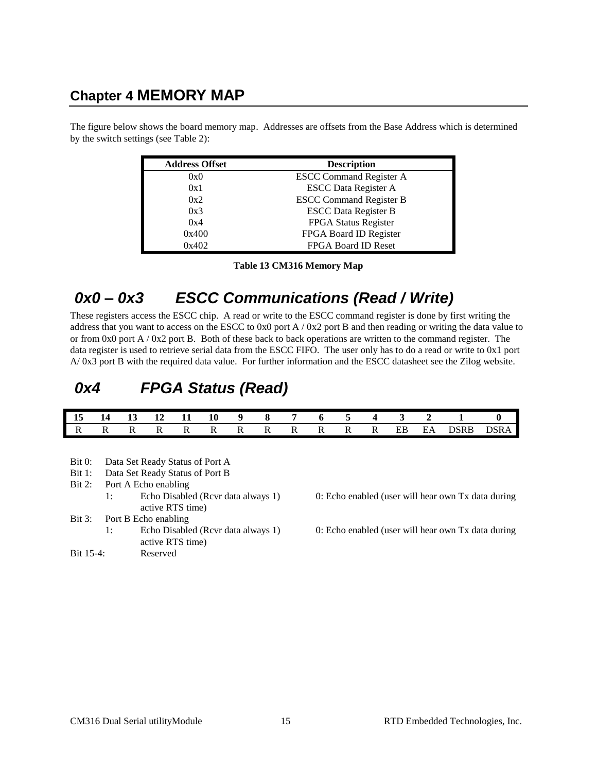### <span id="page-20-0"></span>**Chapter 4 MEMORY MAP**

The figure below shows the board memory map. Addresses are offsets from the Base Address which is determined by the switch settings (see [Table 2\)](#page-10-1):

| <b>Address Offset</b> | <b>Description</b>             |
|-----------------------|--------------------------------|
| 0x0                   | <b>ESCC Command Register A</b> |
| 0x1                   | <b>ESCC Data Register A</b>    |
| 0x2                   | <b>ESCC Command Register B</b> |
| 0x3                   | <b>ESCC Data Register B</b>    |
| 0x4                   | FPGA Status Register           |
| 0x400                 | FPGA Board ID Register         |
| 0x402                 | <b>FPGA Board ID Reset</b>     |

**Table 13 CM316 Memory Map**

# <span id="page-20-3"></span><span id="page-20-1"></span>*0x0 – 0x3 ESCC Communications (Read / Write)*

These registers access the ESCC chip. A read or write to the ESCC command register is done by first writing the address that you want to access on the ESCC to 0x0 port  $A / 0x2$  port B and then reading or writing the data value to or from  $0x0$  port A /  $0x2$  port B. Both of these back to back operations are written to the command register. The data register is used to retrieve serial data from the ESCC FIFO. The user only has to do a read or write to 0x1 port A/ 0x3 port B with the required data value. For further information and the ESCC datasheet see the Zilog website.

## <span id="page-20-2"></span>*0x4 FPGA Status (Read)*

|  |  |  |  |  |  |  | 15 14 13 12 11 10 9 8 7 6 5 4 3 2 1 0 |                            |
|--|--|--|--|--|--|--|---------------------------------------|----------------------------|
|  |  |  |  |  |  |  |                                       | IRRRRRRRRRRRRREBEADSRBDSRA |

- Bit 0: Data Set Ready Status of Port A
- Bit 1: Data Set Ready Status of Port B
- Bit 2: Port A Echo enabling
	- 1: Echo Disabled (Rcvr data always 1) 0: Echo enabled (user will hear own Tx data during active RTS time)
- Bit 3: Port B Echo enabling
- active RTS time) Bit 15-4: Reserved
- 
- 1: Echo Disabled (Rcvr data always 1) 0: Echo enabled (user will hear own Tx data during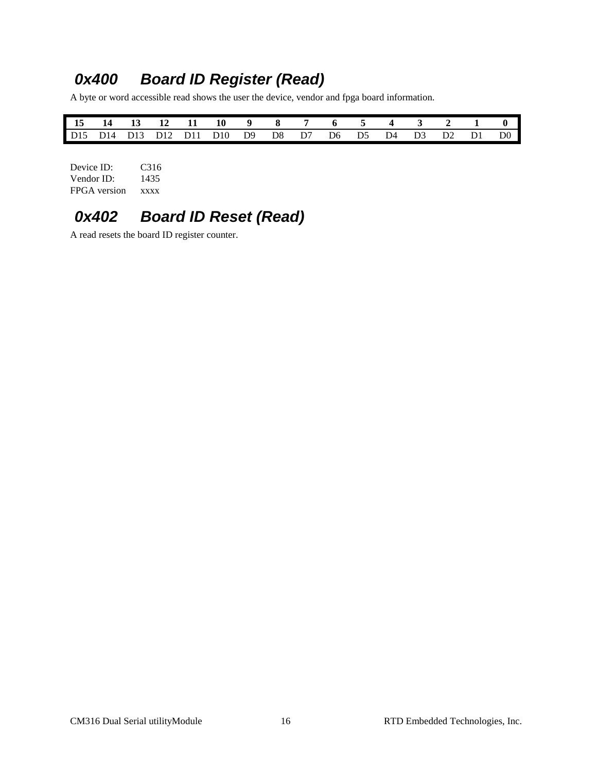# <span id="page-21-0"></span>*0x400 Board ID Register (Read)*

A byte or word accessible read shows the user the device, vendor and fpga board information.

|  |  | 15 14 13 12 11 10 9 8 7 6 5 4 3 2 1 0                 |  |  |  |  |  |
|--|--|-------------------------------------------------------|--|--|--|--|--|
|  |  | D15 D14 D13 D12 D11 D10 D9 D8 D7 D6 D5 D4 D3 D2 D1 D0 |  |  |  |  |  |

| Device ID:   | C <sub>3</sub> 16 |
|--------------|-------------------|
| Vendor ID:   | 1435              |
| FPGA version | <b>XXXX</b>       |

# <span id="page-21-1"></span>*0x402 Board ID Reset (Read)*

A read resets the board ID register counter.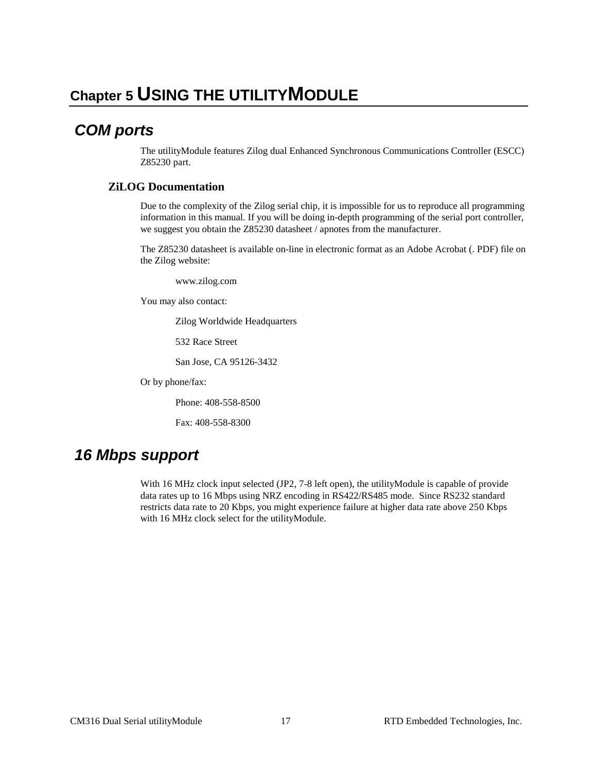### <span id="page-22-1"></span><span id="page-22-0"></span>*COM ports*

The utilityModule features Zilog dual Enhanced Synchronous Communications Controller (ESCC) Z85230 part.

#### **ZiLOG Documentation**

Due to the complexity of the Zilog serial chip, it is impossible for us to reproduce all programming information in this manual. If you will be doing in-depth programming of the serial port controller, we suggest you obtain the Z85230 datasheet / apnotes from the manufacturer.

The Z85230 datasheet is available on-line in electronic format as an Adobe Acrobat (. PDF) file on the Zilog website:

www.zilog.com

You may also contact:

Zilog Worldwide Headquarters

532 Race Street

San Jose, CA 95126-3432

Or by phone/fax:

Phone: 408-558-8500

Fax: 408-558-8300

### <span id="page-22-2"></span>*16 Mbps support*

With 16 MHz clock input selected (JP2, 7-8 left open), the utilityModule is capable of provide data rates up to 16 Mbps using NRZ encoding in RS422/RS485 mode. Since RS232 standard restricts data rate to 20 Kbps, you might experience failure at higher data rate above 250 Kbps with 16 MHz clock select for the utilityModule.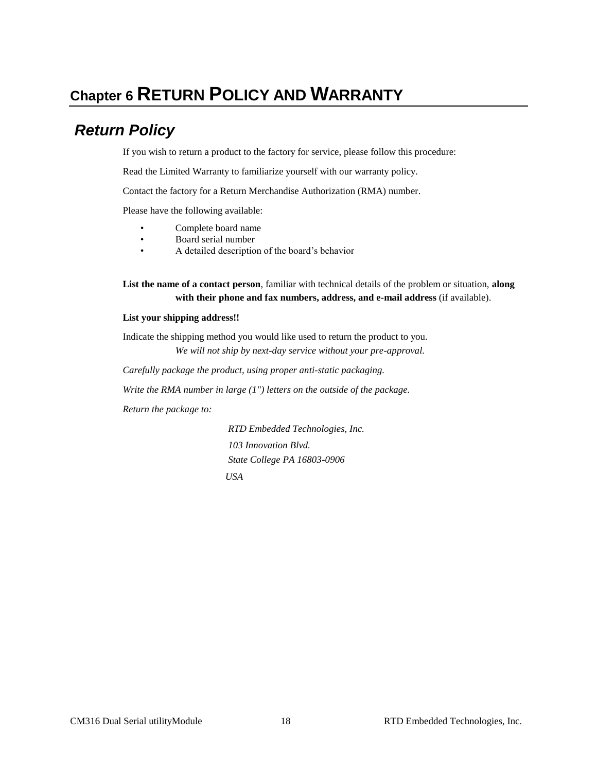# <span id="page-23-0"></span>**Chapter 6 RETURN POLICY AND WARRANTY**

# <span id="page-23-1"></span>*Return Policy*

If you wish to return a product to the factory for service, please follow this procedure:

Read the Limited Warranty to familiarize yourself with our warranty policy.

Contact the factory for a Return Merchandise Authorization (RMA) number.

Please have the following available:

- Complete board name
- Board serial number
- A detailed description of the board's behavior

**List the name of a contact person**, familiar with technical details of the problem or situation, **along with their phone and fax numbers, address, and e-mail address** (if available).

#### **List your shipping address!!**

Indicate the shipping method you would like used to return the product to you. *We will not ship by next-day service without your pre-approval.*

*Carefully package the product, using proper anti-static packaging.*

*Write the RMA number in large (1") letters on the outside of the package.*

*Return the package to:*

*RTD Embedded Technologies, Inc. 103 Innovation Blvd. State College PA 16803-0906 USA*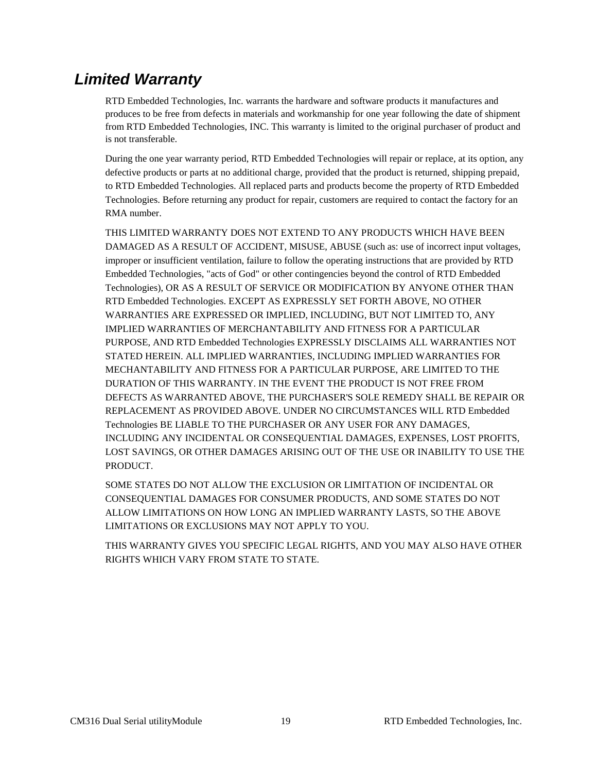## <span id="page-24-0"></span>*Limited Warranty*

RTD Embedded Technologies, Inc. warrants the hardware and software products it manufactures and produces to be free from defects in materials and workmanship for one year following the date of shipment from RTD Embedded Technologies, INC. This warranty is limited to the original purchaser of product and is not transferable.

During the one year warranty period, RTD Embedded Technologies will repair or replace, at its option, any defective products or parts at no additional charge, provided that the product is returned, shipping prepaid, to RTD Embedded Technologies. All replaced parts and products become the property of RTD Embedded Technologies. Before returning any product for repair, customers are required to contact the factory for an RMA number.

THIS LIMITED WARRANTY DOES NOT EXTEND TO ANY PRODUCTS WHICH HAVE BEEN DAMAGED AS A RESULT OF ACCIDENT, MISUSE, ABUSE (such as: use of incorrect input voltages, improper or insufficient ventilation, failure to follow the operating instructions that are provided by RTD Embedded Technologies, "acts of God" or other contingencies beyond the control of RTD Embedded Technologies), OR AS A RESULT OF SERVICE OR MODIFICATION BY ANYONE OTHER THAN RTD Embedded Technologies. EXCEPT AS EXPRESSLY SET FORTH ABOVE, NO OTHER WARRANTIES ARE EXPRESSED OR IMPLIED, INCLUDING, BUT NOT LIMITED TO, ANY IMPLIED WARRANTIES OF MERCHANTABILITY AND FITNESS FOR A PARTICULAR PURPOSE, AND RTD Embedded Technologies EXPRESSLY DISCLAIMS ALL WARRANTIES NOT STATED HEREIN. ALL IMPLIED WARRANTIES, INCLUDING IMPLIED WARRANTIES FOR MECHANTABILITY AND FITNESS FOR A PARTICULAR PURPOSE, ARE LIMITED TO THE DURATION OF THIS WARRANTY. IN THE EVENT THE PRODUCT IS NOT FREE FROM DEFECTS AS WARRANTED ABOVE, THE PURCHASER'S SOLE REMEDY SHALL BE REPAIR OR REPLACEMENT AS PROVIDED ABOVE. UNDER NO CIRCUMSTANCES WILL RTD Embedded Technologies BE LIABLE TO THE PURCHASER OR ANY USER FOR ANY DAMAGES, INCLUDING ANY INCIDENTAL OR CONSEQUENTIAL DAMAGES, EXPENSES, LOST PROFITS, LOST SAVINGS, OR OTHER DAMAGES ARISING OUT OF THE USE OR INABILITY TO USE THE PRODUCT.

SOME STATES DO NOT ALLOW THE EXCLUSION OR LIMITATION OF INCIDENTAL OR CONSEQUENTIAL DAMAGES FOR CONSUMER PRODUCTS, AND SOME STATES DO NOT ALLOW LIMITATIONS ON HOW LONG AN IMPLIED WARRANTY LASTS, SO THE ABOVE LIMITATIONS OR EXCLUSIONS MAY NOT APPLY TO YOU.

THIS WARRANTY GIVES YOU SPECIFIC LEGAL RIGHTS, AND YOU MAY ALSO HAVE OTHER RIGHTS WHICH VARY FROM STATE TO STATE.